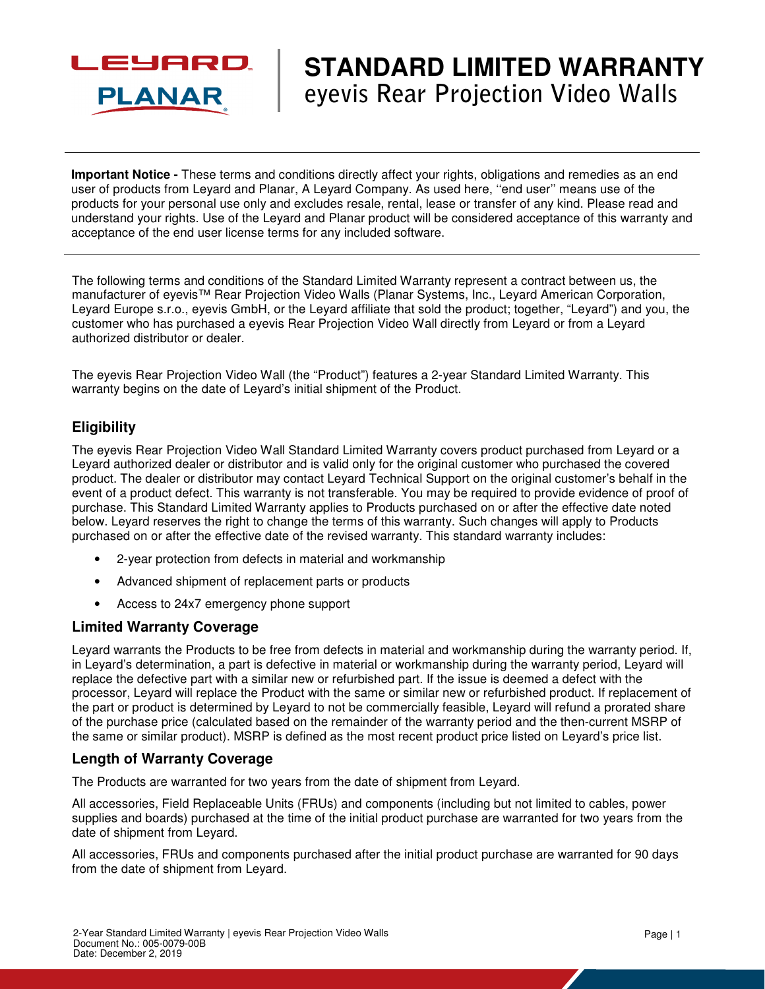

# **STANDARD LIMITED WARRANTY eyevis Rear Projection Video Walls**

**Important Notice -** These terms and conditions directly affect your rights, obligations and remedies as an end user of products from Leyard and Planar, A Leyard Company. As used here, ''end user'' means use of the products for your personal use only and excludes resale, rental, lease or transfer of any kind. Please read and understand your rights. Use of the Leyard and Planar product will be considered acceptance of this warranty and acceptance of the end user license terms for any included software.

The following terms and conditions of the Standard Limited Warranty represent a contract between us, the manufacturer of eyevis™ Rear Projection Video Walls (Planar Systems, Inc., Leyard American Corporation, Leyard Europe s.r.o., eyevis GmbH, or the Leyard affiliate that sold the product; together, "Leyard") and you, the customer who has purchased a eyevis Rear Projection Video Wall directly from Leyard or from a Leyard authorized distributor or dealer.

The eyevis Rear Projection Video Wall (the "Product") features a 2-year Standard Limited Warranty. This warranty begins on the date of Leyard's initial shipment of the Product.

# **Eligibility**

The eyevis Rear Projection Video Wall Standard Limited Warranty covers product purchased from Leyard or a Leyard authorized dealer or distributor and is valid only for the original customer who purchased the covered product. The dealer or distributor may contact Leyard Technical Support on the original customer's behalf in the event of a product defect. This warranty is not transferable. You may be required to provide evidence of proof of purchase. This Standard Limited Warranty applies to Products purchased on or after the effective date noted below. Leyard reserves the right to change the terms of this warranty. Such changes will apply to Products purchased on or after the effective date of the revised warranty. This standard warranty includes:

- 2-year protection from defects in material and workmanship
- Advanced shipment of replacement parts or products
- Access to 24x7 emergency phone support

# **Limited Warranty Coverage**

Leyard warrants the Products to be free from defects in material and workmanship during the warranty period. If, in Leyard's determination, a part is defective in material or workmanship during the warranty period, Leyard will replace the defective part with a similar new or refurbished part. If the issue is deemed a defect with the processor, Leyard will replace the Product with the same or similar new or refurbished product. If replacement of the part or product is determined by Leyard to not be commercially feasible, Leyard will refund a prorated share of the purchase price (calculated based on the remainder of the warranty period and the then-current MSRP of the same or similar product). MSRP is defined as the most recent product price listed on Leyard's price list.

# **Length of Warranty Coverage**

The Products are warranted for two years from the date of shipment from Leyard.

All accessories, Field Replaceable Units (FRUs) and components (including but not limited to cables, power supplies and boards) purchased at the time of the initial product purchase are warranted for two years from the date of shipment from Leyard.

All accessories, FRUs and components purchased after the initial product purchase are warranted for 90 days from the date of shipment from Leyard.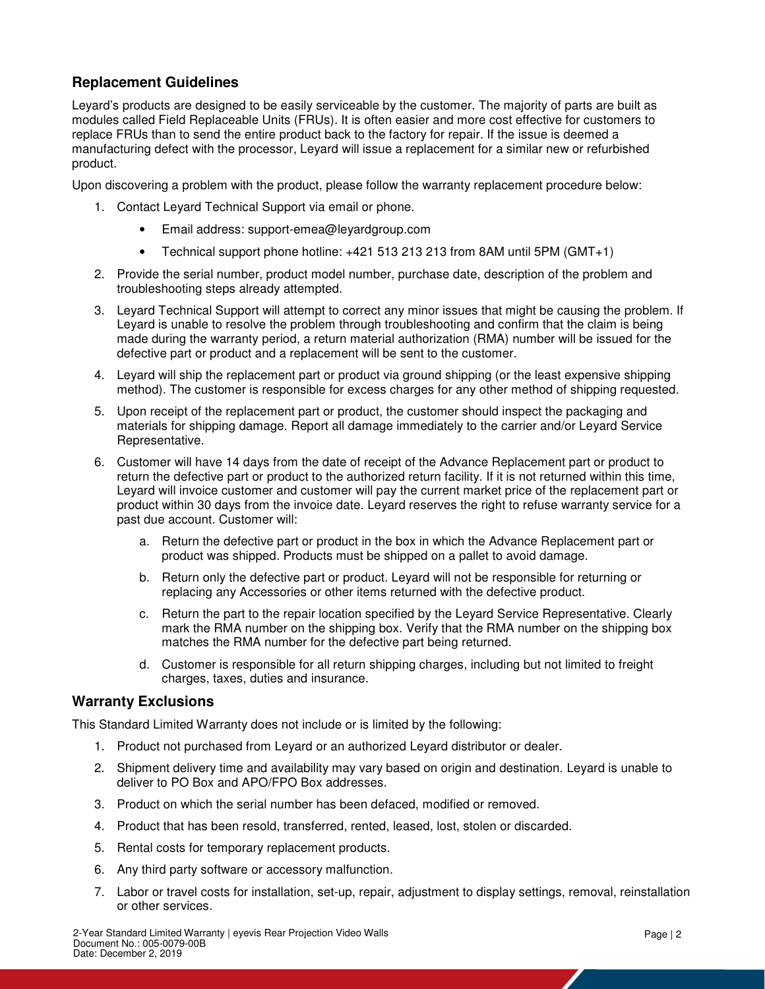# **Replacement Guidelines**

Leyard's products are designed to be easily serviceable by the customer. The majority of parts are built as modules called Field Replaceable Units (FRUs). It is often easier and more cost effective for customers to replace FRUs than to send the entire product back to the factory for repair. If the issue is deemed a manufacturing defect with the processor, Leyard will issue a replacement for a similar new or refurbished product.

Upon discovering a problem with the product, please follow the warranty replacement procedure below:

- 1. Contact Leyard Technical Support via email or phone.
	- Email address: support-emea@leyardgroup.com
	- Technical support phone hotline: +421 513 213 213 from 8AM until 5PM (GMT+1)
- 2. Provide the serial number, product model number, purchase date, description of the problem and troubleshooting steps already attempted.
- 3. Leyard Technical Support will attempt to correct any minor issues that might be causing the problem. If Leyard is unable to resolve the problem through troubleshooting and confirm that the claim is being made during the warranty period, a return material authorization (RMA) number will be issued for the defective part or product and a replacement will be sent to the customer.
- 4. Leyard will ship the replacement part or product via ground shipping (or the least expensive shipping method). The customer is responsible for excess charges for any other method of shipping requested.
- 5. Upon receipt of the replacement part or product, the customer should inspect the packaging and materials for shipping damage. Report all damage immediately to the carrier and/or Leyard Service Representative.
- 6. Customer will have 14 days from the date of receipt of the Advance Replacement part or product to return the defective part or product to the authorized return facility. If it is not returned within this time, Leyard will invoice customer and customer will pay the current market price of the replacement part or product within 30 days from the invoice date. Leyard reserves the right to refuse warranty service for a past due account. Customer will:
	- a. Return the defective part or product in the box in which the Advance Replacement part or product was shipped. Products must be shipped on a pallet to avoid damage.
	- b. Return only the defective part or product. Leyard will not be responsible for returning or replacing any Accessories or other items returned with the defective product.
	- c. Return the part to the repair location specified by the Leyard Service Representative. Clearly mark the RMA number on the shipping box. Verify that the RMA number on the shipping box matches the RMA number for the defective part being returned.
	- d. Customer is responsible for all return shipping charges, including but not limited to freight charges, taxes, duties and insurance.

# **Warranty Exclusions**

This Standard Limited Warranty does not include or is limited by the following:

- 1. Product not purchased from Leyard or an authorized Leyard distributor or dealer.
- 2. Shipment delivery time and availability may vary based on origin and destination. Leyard is unable to deliver to PO Box and APO/FPO Box addresses.
- 3. Product on which the serial number has been defaced, modified or removed.
- 4. Product that has been resold, transferred, rented, leased, lost, stolen or discarded.
- 5. Rental costs for temporary replacement products.
- 6. Any third party software or accessory malfunction.
- 7. Labor or travel costs for installation, set-up, repair, adjustment to display settings, removal, reinstallation or other services.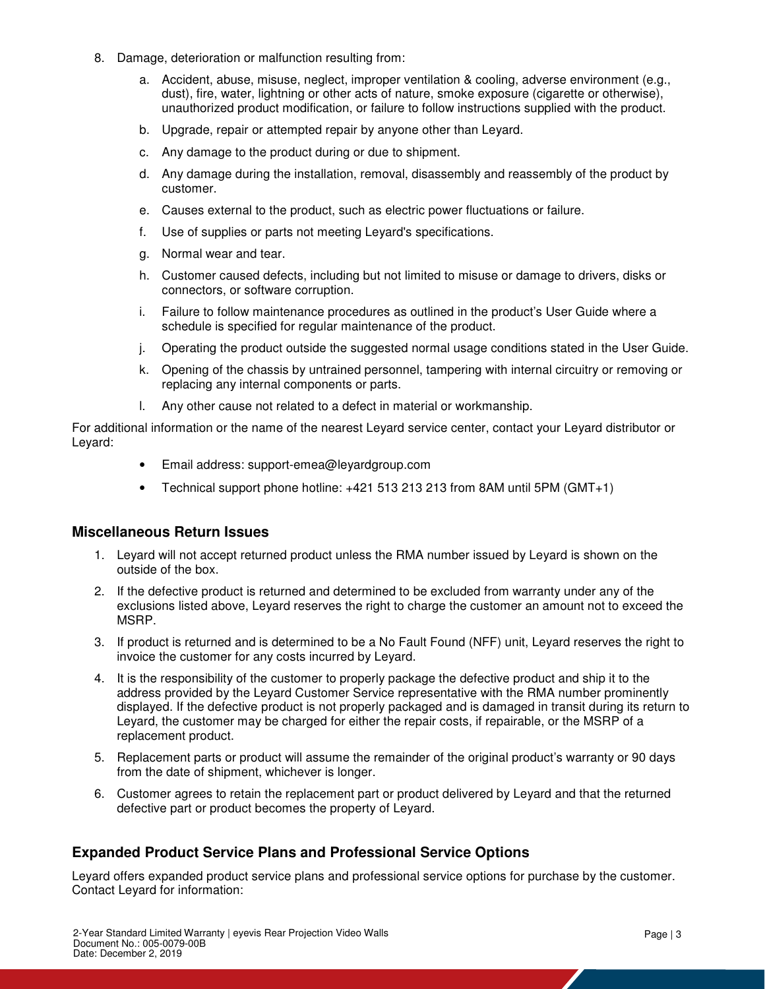- 8. Damage, deterioration or malfunction resulting from:
	- a. Accident, abuse, misuse, neglect, improper ventilation & cooling, adverse environment (e.g., dust), fire, water, lightning or other acts of nature, smoke exposure (cigarette or otherwise), unauthorized product modification, or failure to follow instructions supplied with the product.
	- b. Upgrade, repair or attempted repair by anyone other than Leyard.
	- c. Any damage to the product during or due to shipment.
	- d. Any damage during the installation, removal, disassembly and reassembly of the product by customer.
	- e. Causes external to the product, such as electric power fluctuations or failure.
	- f. Use of supplies or parts not meeting Leyard's specifications.
	- g. Normal wear and tear.
	- h. Customer caused defects, including but not limited to misuse or damage to drivers, disks or connectors, or software corruption.
	- i. Failure to follow maintenance procedures as outlined in the product's User Guide where a schedule is specified for regular maintenance of the product.
	- j. Operating the product outside the suggested normal usage conditions stated in the User Guide.
	- k. Opening of the chassis by untrained personnel, tampering with internal circuitry or removing or replacing any internal components or parts.
	- l. Any other cause not related to a defect in material or workmanship.

For additional information or the name of the nearest Leyard service center, contact your Leyard distributor or Leyard:

- Email address: support-emea@leyardgroup.com
- Technical support phone hotline: +421 513 213 213 from 8AM until 5PM (GMT+1)

#### **Miscellaneous Return Issues**

- 1. Leyard will not accept returned product unless the RMA number issued by Leyard is shown on the outside of the box.
- 2. If the defective product is returned and determined to be excluded from warranty under any of the exclusions listed above, Leyard reserves the right to charge the customer an amount not to exceed the MSRP.
- 3. If product is returned and is determined to be a No Fault Found (NFF) unit, Leyard reserves the right to invoice the customer for any costs incurred by Leyard.
- 4. It is the responsibility of the customer to properly package the defective product and ship it to the address provided by the Leyard Customer Service representative with the RMA number prominently displayed. If the defective product is not properly packaged and is damaged in transit during its return to Leyard, the customer may be charged for either the repair costs, if repairable, or the MSRP of a replacement product.
- 5. Replacement parts or product will assume the remainder of the original product's warranty or 90 days from the date of shipment, whichever is longer.
- 6. Customer agrees to retain the replacement part or product delivered by Leyard and that the returned defective part or product becomes the property of Leyard.

# **Expanded Product Service Plans and Professional Service Options**

Leyard offers expanded product service plans and professional service options for purchase by the customer. Contact Leyard for information: